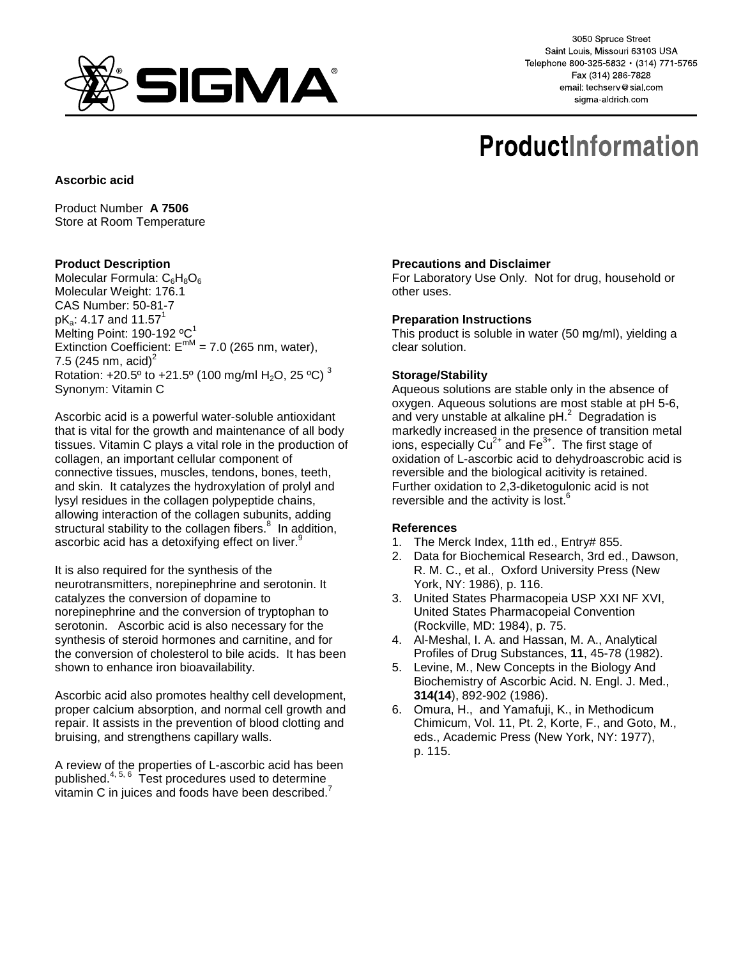

3050 Spruce Street Saint Louis, Missouri 63103 USA Telephone 800-325-5832 · (314) 771-5765 Fax (314) 286-7828 email: techserv@sial.com sigma-aldrich.com

# **ProductInformation**

## **Ascorbic acid**

Product Number **A 7506** Store at Room Temperature

## **Product Description**

Molecular Formula:  $C_6H_8O_6$ Molecular Weight: 176.1 CAS Number: 50-81-7  $pK_a$ : 4.17 and 11.57<sup>1</sup> Melting Point: 190-192 $^{\circ}$ C<sup>1</sup> Extinction Coefficient:  $E^{mM} = 7.0$  (265 nm, water), 7.5 (245 nm, acid)<sup>2</sup> Rotation: +20.5° to +21.5° (100 mg/ml H<sub>2</sub>O, 25 °C)<sup>3</sup> Synonym: Vitamin C

Ascorbic acid is a powerful water-soluble antioxidant that is vital for the growth and maintenance of all body tissues. Vitamin C plays a vital role in the production of collagen, an important cellular component of connective tissues, muscles, tendons, bones, teeth, and skin. It catalyzes the hydroxylation of prolyl and lysyl residues in the collagen polypeptide chains, allowing interaction of the collagen subunits, adding structural stability to the collagen fibers.<sup>8</sup> In addition, ascorbic acid has a detoxifying effect on liver.<sup>9</sup>

It is also required for the synthesis of the neurotransmitters, norepinephrine and serotonin. It catalyzes the conversion of dopamine to norepinephrine and the conversion of tryptophan to serotonin. Ascorbic acid is also necessary for the synthesis of steroid hormones and carnitine, and for the conversion of cholesterol to bile acids. It has been shown to enhance iron bioavailability.

Ascorbic acid also promotes healthy cell development, proper calcium absorption, and normal cell growth and repair. It assists in the prevention of blood clotting and bruising, and strengthens capillary walls.

A review of the properties of L-ascorbic acid has been published. $4, 5, 6$  Test procedures used to determine vitamin C in juices and foods have been described. $^7$ 

## **Precautions and Disclaimer**

For Laboratory Use Only. Not for drug, household or other uses.

## **Preparation Instructions**

This product is soluble in water (50 mg/ml), yielding a clear solution.

## **Storage/Stability**

Aqueous solutions are stable only in the absence of oxygen. Aqueous solutions are most stable at pH 5-6, and very unstable at alkaline  $pH<sup>2</sup>$  Degradation is markedly increased in the presence of transition metal ions, especially  $Cu^{2+}$  and  $Fe^{3+}$ . The first stage of oxidation of L-ascorbic acid to dehydroascrobic acid is reversible and the biological acitivity is retained. Further oxidation to 2,3-diketogulonic acid is not reversible and the activity is lost.<sup>6</sup>

#### **References**

- 1. The Merck Index, 11th ed., Entry# 855.
- 2. Data for Biochemical Research, 3rd ed., Dawson, R. M. C., et al., Oxford University Press (New York, NY: 1986), p. 116.
- 3. United States Pharmacopeia USP XXI NF XVI, United States Pharmacopeial Convention (Rockville, MD: 1984), p. 75.
- 4. Al-Meshal, I. A. and Hassan, M. A., Analytical Profiles of Drug Substances, **11**, 45-78 (1982).
- 5. Levine, M., New Concepts in the Biology And Biochemistry of Ascorbic Acid. N. Engl. J. Med., **314(14**), 892-902 (1986).
- 6. Omura, H., and Yamafuji, K., in Methodicum Chimicum, Vol. 11, Pt. 2, Korte, F., and Goto, M., eds., Academic Press (New York, NY: 1977), p. 115.